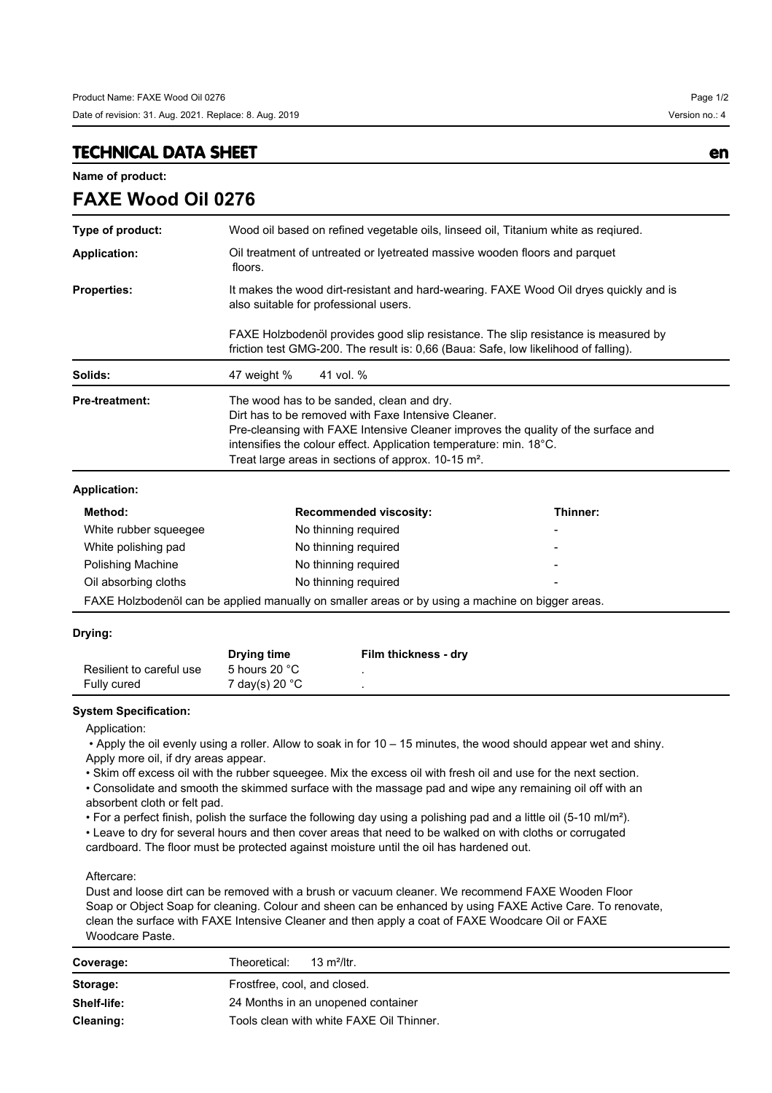## **TECHNICAL DATA SHEET en**

**FAXE Wood Oil 0276**

**Name of product:**

| Type of product:      | Wood oil based on refined vegetable oils, linseed oil, Titanium white as reqiured.                                                                                                                                                                                                                                             |          |  |
|-----------------------|--------------------------------------------------------------------------------------------------------------------------------------------------------------------------------------------------------------------------------------------------------------------------------------------------------------------------------|----------|--|
| <b>Application:</b>   | Oil treatment of untreated or lyetreated massive wooden floors and parquet<br>floors.                                                                                                                                                                                                                                          |          |  |
| <b>Properties:</b>    | It makes the wood dirt-resistant and hard-wearing. FAXE Wood Oil dryes quickly and is<br>also suitable for professional users.                                                                                                                                                                                                 |          |  |
|                       | FAXE Holzbodenöl provides good slip resistance. The slip resistance is measured by<br>friction test GMG-200. The result is: 0,66 (Baua: Safe, low likelihood of falling).                                                                                                                                                      |          |  |
| Solids:               | 41 vol. %<br>47 weight %                                                                                                                                                                                                                                                                                                       |          |  |
| <b>Pre-treatment:</b> | The wood has to be sanded, clean and dry.<br>Dirt has to be removed with Faxe Intensive Cleaner.<br>Pre-cleansing with FAXE Intensive Cleaner improves the quality of the surface and<br>intensifies the colour effect. Application temperature: min. 18°C.<br>Treat large areas in sections of approx. 10-15 m <sup>2</sup> . |          |  |
| <b>Application:</b>   |                                                                                                                                                                                                                                                                                                                                |          |  |
| Method:               | <b>Recommended viscosity:</b>                                                                                                                                                                                                                                                                                                  | Thinner: |  |
| White rubber squeegee | No thinning required                                                                                                                                                                                                                                                                                                           |          |  |
| White polishing pad   | No thinning required                                                                                                                                                                                                                                                                                                           |          |  |
| Polishing Machine     | No thinning required                                                                                                                                                                                                                                                                                                           |          |  |
| Oil absorbing cloths  | No thinning required                                                                                                                                                                                                                                                                                                           |          |  |
|                       | FAXE Holzbodenöl can be applied manually on smaller areas or by using a machine on bigger areas.                                                                                                                                                                                                                               |          |  |

## **Drying:**

|                          | Drying time    | Film thickness - dry |
|--------------------------|----------------|----------------------|
| Resilient to careful use | 5 hours 20 °C  |                      |
| Fully cured              | 7 day(s) 20 °C |                      |

## **System Specification:**

Application:

 • Apply the oil evenly using a roller. Allow to soak in for 10 – 15 minutes, the wood should appear wet and shiny. Apply more oil, if dry areas appear.

• Skim off excess oil with the rubber squeegee. Mix the excess oil with fresh oil and use for the next section.

• Consolidate and smooth the skimmed surface with the massage pad and wipe any remaining oil off with an absorbent cloth or felt pad.

• For a perfect finish, polish the surface the following day using a polishing pad and a little oil (5-10 ml/m²).

• Leave to dry for several hours and then cover areas that need to be walked on with cloths or corrugated

cardboard. The floor must be protected against moisture until the oil has hardened out.

Aftercare:

Dust and loose dirt can be removed with a brush or vacuum cleaner. We recommend FAXE Wooden Floor Soap or Object Soap for cleaning. Colour and sheen can be enhanced by using FAXE Active Care. To renovate, clean the surface with FAXE Intensive Cleaner and then apply a coat of FAXE Woodcare Oil or FAXE Woodcare Paste.

| Coverage:   | Theoretical:<br>13 m <sup>2</sup> /ltr.  |  |
|-------------|------------------------------------------|--|
| Storage:    | Frostfree, cool, and closed.             |  |
| Shelf-life: | 24 Months in an unopened container       |  |
| Cleaning:   | Tools clean with white FAXE Oil Thinner. |  |